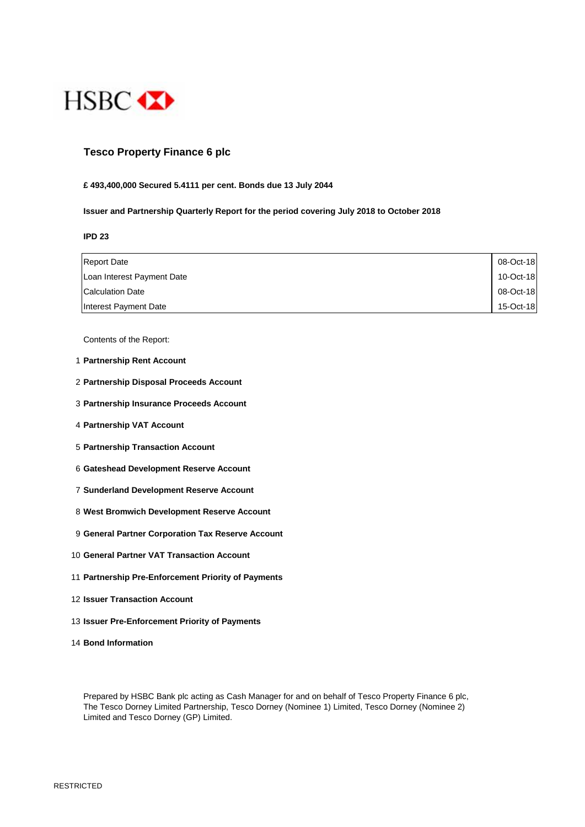

## **Tesco Property Finance 6 plc**

#### **£ 493,400,000 Secured 5.4111 per cent. Bonds due 13 July 2044**

#### **Issuer and Partnership Quarterly Report for the period covering July 2018 to October 2018**

**IPD 23**

| <b>Report Date</b>         | 08-Oct-18 |
|----------------------------|-----------|
| Loan Interest Payment Date | 10-Oct-18 |
| <b>Calculation Date</b>    | 08-Oct-18 |
| Interest Payment Date      | 15-Oct-18 |

Contents of the Report:

- 1 **Partnership Rent Account**
- 2 **Partnership Disposal Proceeds Account**
- 3 **Partnership Insurance Proceeds Account**
- 4 **Partnership VAT Account**
- 5 **Partnership Transaction Account**
- 6 **Gateshead Development Reserve Account**
- 7 **Sunderland Development Reserve Account**
- 8 **West Bromwich Development Reserve Account**
- 9 **General Partner Corporation Tax Reserve Account**
- 10 **General Partner VAT Transaction Account**
- 11 **Partnership Pre-Enforcement Priority of Payments**
- 12 **Issuer Transaction Account**
- 13 **Issuer Pre-Enforcement Priority of Payments**
- 14 **Bond Information**

Prepared by HSBC Bank plc acting as Cash Manager for and on behalf of Tesco Property Finance 6 plc, The Tesco Dorney Limited Partnership, Tesco Dorney (Nominee 1) Limited, Tesco Dorney (Nominee 2) Limited and Tesco Dorney (GP) Limited.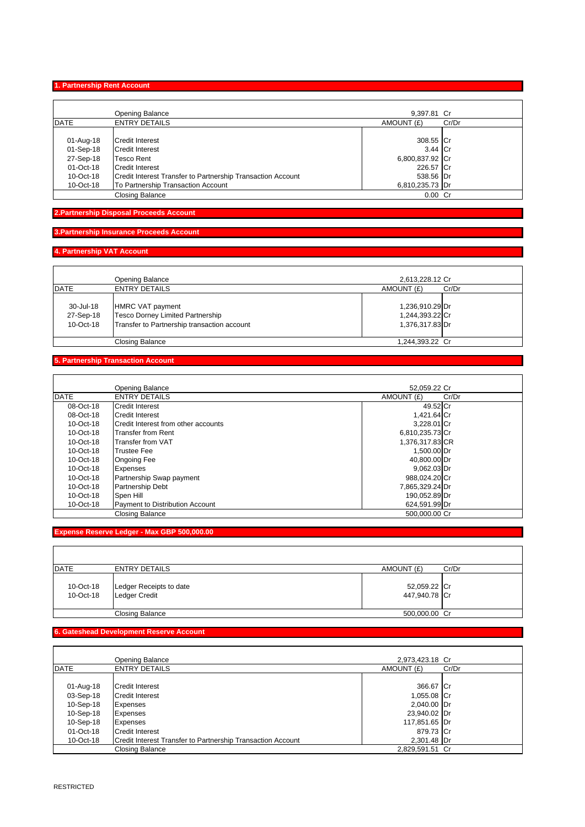**1. Partnership Rent Account**

|             | Opening Balance                                             | 9.397.81 Cr     |       |
|-------------|-------------------------------------------------------------|-----------------|-------|
| <b>DATE</b> | <b>ENTRY DETAILS</b>                                        | AMOUNT (£)      | Cr/Dr |
|             |                                                             |                 |       |
| 01-Aug-18   | Credit Interest                                             | 308.55 Cr       |       |
| 01-Sep-18   | <b>Credit Interest</b>                                      | 3.44 Cr         |       |
| 27-Sep-18   | Tesco Rent                                                  | 6,800,837.92 Cr |       |
| 01-Oct-18   | <b>Credit Interest</b>                                      | 226.57 Cr       |       |
| 10-Oct-18   | Credit Interest Transfer to Partnership Transaction Account | 538.56 Dr       |       |
| 10-Oct-18   | To Partnership Transaction Account                          | 6,810,235.73 Dr |       |
|             | <b>Closing Balance</b>                                      | $0.00$ Cr       |       |

# **2.Partnership Disposal Proceeds Account**

# **3.Partnership Insurance Proceeds Account**

# **4. Partnership VAT Account**

Ĭ.

|                                     | Opening Balance                                                                                                   | 2,613,228.12 Cr                                       |       |
|-------------------------------------|-------------------------------------------------------------------------------------------------------------------|-------------------------------------------------------|-------|
| <b>DATE</b>                         | <b>ENTRY DETAILS</b>                                                                                              | AMOUNT (£)                                            | Cr/Dr |
| 30-Jul-18<br>27-Sep-18<br>10-Oct-18 | <b>HMRC VAT payment</b><br><b>Tesco Dorney Limited Partnership</b><br>Transfer to Partnership transaction account | 1,236,910.29 Dr<br>1,244,393.22 Cr<br>1,376,317.83 Dr |       |
|                                     | <b>Closing Balance</b>                                                                                            | 1,244,393.22 Cr                                       |       |

#### **5. Partnership Transaction Account**

|              | Opening Balance                     | 52.059.22 Cr        |
|--------------|-------------------------------------|---------------------|
| DATE         | <b>ENTRY DETAILS</b>                | AMOUNT (£)<br>Cr/Dr |
| 08-Oct-18    | <b>Credit Interest</b>              | 49.52 Cr            |
| $08$ -Oct-18 | <b>Credit Interest</b>              | 1,421.64 Cr         |
| 10-Oct-18    | Credit Interest from other accounts | 3.228.01 Cr         |
| 10-Oct-18    | Transfer from Rent                  | 6,810,235.73 Cr     |
| 10-Oct-18    | Transfer from VAT                   | 1,376,317.83 CR     |
| 10-Oct-18    | <b>Trustee Fee</b>                  | 1,500.00 Dr         |
| $10$ -Oct-18 | <b>Ongoing Fee</b>                  | 40.800.00 Dr        |
| $10$ -Oct-18 | <b>Expenses</b>                     | 9.062.03 Dr         |
| 10-Oct-18    | Partnership Swap payment            | 988,024.20 Cr       |
| 10-Oct-18    | <b>Partnership Debt</b>             | 7.865.329.24 Dr     |
| 10-Oct-18    | Spen Hill                           | 190,052.89 Dr       |
| 10-Oct-18    | Payment to Distribution Account     | 624,591.99 Dr       |
|              | <b>Closing Balance</b>              | 500.000.00 Cr       |

## **Expense Reserve Ledger - Max GBP 500,000.00**

| DATE                   | <b>ENTRY DETAILS</b>                            | AMOUNT (£)                    | Cr/Dr |
|------------------------|-------------------------------------------------|-------------------------------|-------|
| 10-Oct-18<br>10-Oct-18 | Ledger Receipts to date<br><b>Ledger Credit</b> | 52,059.22 Cr<br>447,940.78 Cr |       |
|                        | <b>Closing Balance</b>                          | 500,000.00 Cr                 |       |

#### **6. Gateshead Development Reserve Account**

|              | Opening Balance                                             | 2,973,423.18 Cr     |
|--------------|-------------------------------------------------------------|---------------------|
| <b>DATE</b>  | <b>ENTRY DETAILS</b>                                        | AMOUNT (£)<br>Cr/Dr |
|              |                                                             |                     |
| 01-Aug-18    | <b>Credit Interest</b>                                      | 366.67 Cr           |
| 03-Sep-18    | <b>Credit Interest</b>                                      | 1,055.08 Cr         |
| 10-Sep-18    | <b>Expenses</b>                                             | 2,040.00 Dr         |
| 10-Sep-18    | Expenses                                                    | 23,940.02 Dr        |
| 10-Sep-18    | <b>Expenses</b>                                             | 117,851.65 Dr       |
| 01-Oct-18    | <b>Credit Interest</b>                                      | 879.73 Cr           |
| $10$ -Oct-18 | Credit Interest Transfer to Partnership Transaction Account | 2,301.48 Dr         |
|              | Closing Balance                                             | 2.829.591.51 Cr     |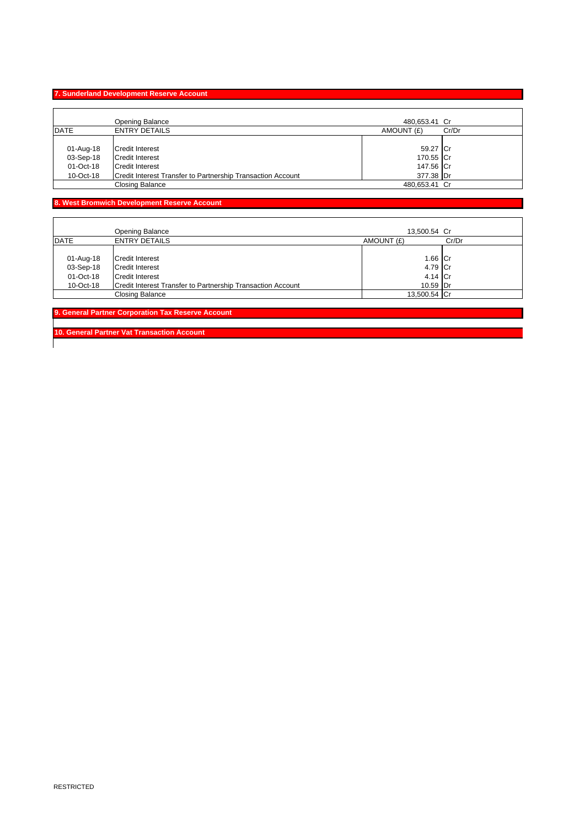# **7. Sunderland Development Reserve Account**

 $\mathbf{r}$ 

|             | Opening Balance                                             | 480,653.41 Cr |       |
|-------------|-------------------------------------------------------------|---------------|-------|
| <b>DATE</b> | <b>ENTRY DETAILS</b>                                        | AMOUNT (£)    | Cr/Dr |
|             |                                                             |               |       |
| 01-Aug-18   | <b>Credit Interest</b>                                      | 59.27 Cr      |       |
| 03-Sep-18   | Credit Interest                                             | 170.55 Cr     |       |
| 01-Oct-18   | <b>Credit Interest</b>                                      | 147.56 Cr     |       |
| 10-Oct-18   | Credit Interest Transfer to Partnership Transaction Account | 377.38 Dr     |       |
|             | Closing Balance                                             | 480.653.41 Cr |       |

# **8. West Bromwich Development Reserve Account**

|             | <b>Opening Balance</b>                                      | 13,500.54 Cr |       |
|-------------|-------------------------------------------------------------|--------------|-------|
| <b>DATE</b> | <b>ENTRY DETAILS</b>                                        | AMOUNT (£)   | Cr/Dr |
|             |                                                             |              |       |
| 01-Aug-18   | Credit Interest                                             | 1.66 Cr      |       |
| 03-Sep-18   | <b>Credit Interest</b>                                      | 4.79 Cr      |       |
| 01-Oct-18   | <b>Credit Interest</b>                                      | 4.14 Cr      |       |
| 10-Oct-18   | Credit Interest Transfer to Partnership Transaction Account | 10.59 Dr     |       |
|             | <b>Closing Balance</b>                                      | 13,500.54 Cr |       |

**9. General Partner Corporation Tax Reserve Account** 

**10. General Partner Vat Transaction Account**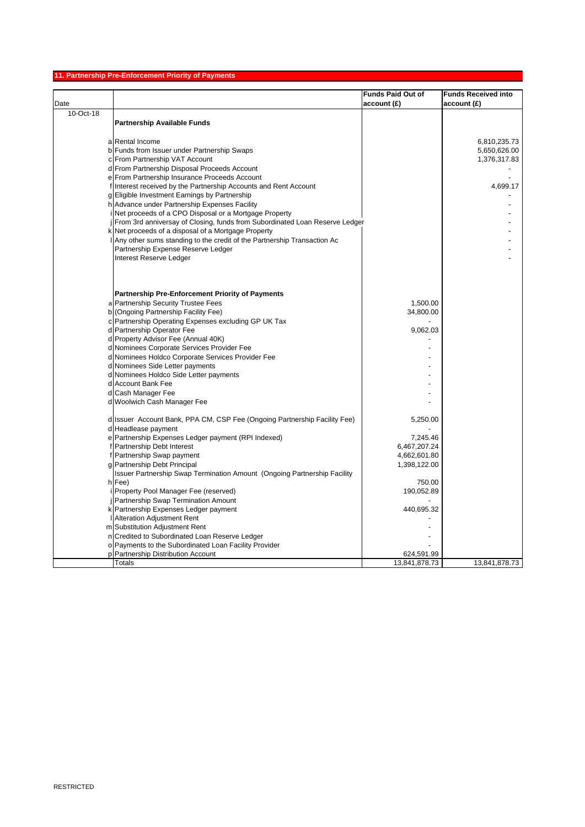## **11. Partnership Pre-Enforcement Priority of Payments**

|           |                                                                                    | <b>Funds Paid Out of</b> | <b>Funds Received into</b> |
|-----------|------------------------------------------------------------------------------------|--------------------------|----------------------------|
| Date      |                                                                                    | account(E)               | account(E)                 |
| 10-Oct-18 |                                                                                    |                          |                            |
|           | <b>Partnership Available Funds</b>                                                 |                          |                            |
|           |                                                                                    |                          |                            |
|           | a Rental Income                                                                    |                          | 6,810,235.73               |
|           | b Funds from Issuer under Partnership Swaps                                        |                          | 5,650,626.00               |
|           | c From Partnership VAT Account                                                     |                          | 1,376,317.83               |
|           | d From Partnership Disposal Proceeds Account                                       |                          |                            |
|           | e From Partnership Insurance Proceeds Account                                      |                          |                            |
|           | f Interest received by the Partnership Accounts and Rent Account                   |                          | 4,699.17                   |
|           | g Eligible Investment Earnings by Partnership                                      |                          |                            |
|           | h Advance under Partnership Expenses Facility                                      |                          |                            |
|           | i Net proceeds of a CPO Disposal or a Mortgage Property                            |                          |                            |
|           | From 3rd anniversay of Closing, funds from Subordinated Loan Reserve Ledger        |                          |                            |
|           | k Net proceeds of a disposal of a Mortgage Property                                |                          |                            |
|           | Any other sums standing to the credit of the Partnership Transaction Ac            |                          |                            |
|           | Partnership Expense Reserve Ledger                                                 |                          |                            |
|           | Interest Reserve Ledger                                                            |                          |                            |
|           |                                                                                    |                          |                            |
|           |                                                                                    |                          |                            |
|           |                                                                                    |                          |                            |
|           | Partnership Pre-Enforcement Priority of Payments                                   |                          |                            |
|           | a Partnership Security Trustee Fees                                                | 1,500.00                 |                            |
|           | b (Ongoing Partnership Facility Fee)                                               | 34,800.00                |                            |
|           | c Partnership Operating Expenses excluding GP UK Tax                               |                          |                            |
|           | d Partnership Operator Fee                                                         | 9,062.03                 |                            |
|           | d Property Advisor Fee (Annual 40K)                                                |                          |                            |
|           | d Nominees Corporate Services Provider Fee                                         |                          |                            |
|           | d Nominees Holdco Corporate Services Provider Fee                                  |                          |                            |
|           | d Nominees Side Letter payments                                                    |                          |                            |
|           | d Nominees Holdco Side Letter payments                                             |                          |                            |
|           | d Account Bank Fee                                                                 |                          |                            |
|           | d Cash Manager Fee                                                                 |                          |                            |
|           | d Woolwich Cash Manager Fee                                                        |                          |                            |
|           |                                                                                    |                          |                            |
|           | d Issuer Account Bank, PPA CM, CSP Fee (Ongoing Partnership Facility Fee)          | 5,250.00                 |                            |
|           | d Headlease payment                                                                |                          |                            |
|           | e Partnership Expenses Ledger payment (RPI Indexed)<br>f Partnership Debt Interest | 7,245.46<br>6,467,207.24 |                            |
|           | f Partnership Swap payment                                                         | 4,662,601.80             |                            |
|           | g Partnership Debt Principal                                                       | 1,398,122.00             |                            |
|           | Issuer Partnership Swap Termination Amount (Ongoing Partnership Facility           |                          |                            |
|           | h Fee)                                                                             | 750.00                   |                            |
|           | Property Pool Manager Fee (reserved)                                               | 190,052.89               |                            |
|           | Partnership Swap Termination Amount                                                |                          |                            |
|           | k Partnership Expenses Ledger payment                                              | 440,695.32               |                            |
|           | <b>Alteration Adjustment Rent</b>                                                  |                          |                            |
|           | m Substitution Adjustment Rent                                                     |                          |                            |
|           | n Credited to Subordinated Loan Reserve Ledger                                     |                          |                            |
|           | o Payments to the Subordinated Loan Facility Provider                              |                          |                            |
| D         | Partnership Distribution Account                                                   | 624,591.99               |                            |
|           | <b>Totals</b>                                                                      | 13,841,878.73            | 13,841,878.73              |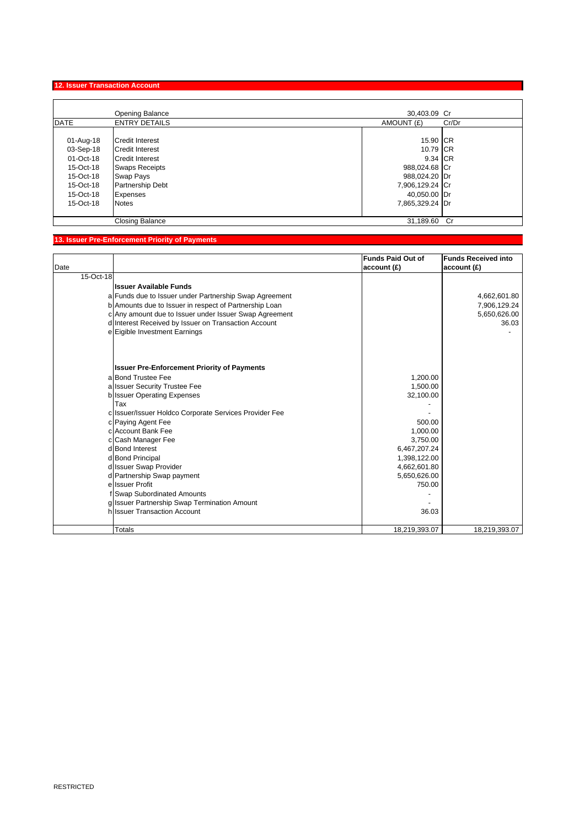# **12. Issuer Transaction Account**

|                                                                                                      | <b>Opening Balance</b>                                                                                                                                                         | 30,403.09 Cr                                                                                                              |
|------------------------------------------------------------------------------------------------------|--------------------------------------------------------------------------------------------------------------------------------------------------------------------------------|---------------------------------------------------------------------------------------------------------------------------|
| <b>DATE</b>                                                                                          | <b>ENTRY DETAILS</b>                                                                                                                                                           | AMOUNT (£)<br>Cr/Dr                                                                                                       |
| 01-Aug-18<br>03-Sep-18<br>01-Oct-18<br>15-Oct-18<br>15-Oct-18<br>15-Oct-18<br>15-Oct-18<br>15-Oct-18 | <b>Credit Interest</b><br><b>Credit Interest</b><br><b>Credit Interest</b><br><b>Swaps Receipts</b><br><b>Swap Pays</b><br><b>Partnership Debt</b><br>Expenses<br><b>Notes</b> | 15.90 ICR<br>10.79 ICR<br>9.34 CR<br>988,024.68 Cr<br>988,024.20 Dr<br>7,906,129.24 Cr<br>40,050.00 Dr<br>7,865,329.24 Dr |
|                                                                                                      | <b>Closing Balance</b>                                                                                                                                                         | 31,189.60 Cr                                                                                                              |

# **13. Issuer Pre-Enforcement Priority of Payments**

|           |                                                        | <b>Funds Paid Out of</b> | <b>Funds Received into</b> |
|-----------|--------------------------------------------------------|--------------------------|----------------------------|
| Date      |                                                        | account(E)               | account(E)                 |
| 15-Oct-18 |                                                        |                          |                            |
|           | Ilssuer Available Funds                                |                          |                            |
|           | a Funds due to Issuer under Partnership Swap Agreement |                          | 4,662,601.80               |
|           | b Amounts due to Issuer in respect of Partnership Loan |                          | 7,906,129.24               |
|           | c Any amount due to Issuer under Issuer Swap Agreement |                          | 5,650,626.00               |
|           | d Interest Received by Issuer on Transaction Account   |                          | 36.03                      |
|           | e Eigible Investment Earnings                          |                          |                            |
|           |                                                        |                          |                            |
|           |                                                        |                          |                            |
|           | <b>Issuer Pre-Enforcement Priority of Payments</b>     |                          |                            |
|           | a Bond Trustee Fee                                     | 1,200.00                 |                            |
|           | a Issuer Security Trustee Fee                          | 1,500.00                 |                            |
|           | b Issuer Operating Expenses                            | 32,100.00                |                            |
|           | Tax                                                    |                          |                            |
|           | c Issuer/Issuer Holdco Corporate Services Provider Fee |                          |                            |
|           | c Paying Agent Fee                                     | 500.00                   |                            |
|           | c Account Bank Fee                                     | 1,000.00                 |                            |
|           | c Cash Manager Fee                                     | 3,750.00                 |                            |
|           | d Bond Interest                                        | 6,467,207.24             |                            |
|           | d Bond Principal                                       | 1,398,122.00             |                            |
|           | d Issuer Swap Provider                                 | 4,662,601.80             |                            |
|           | d Partnership Swap payment                             | 5,650,626.00             |                            |
|           | e Issuer Profit                                        | 750.00                   |                            |
|           | f Swap Subordinated Amounts                            |                          |                            |
|           | g Issuer Partnership Swap Termination Amount           |                          |                            |
|           | h Issuer Transaction Account                           | 36.03                    |                            |
|           | Totals                                                 |                          |                            |
|           |                                                        | 18,219,393.07            | 18,219,393.07              |